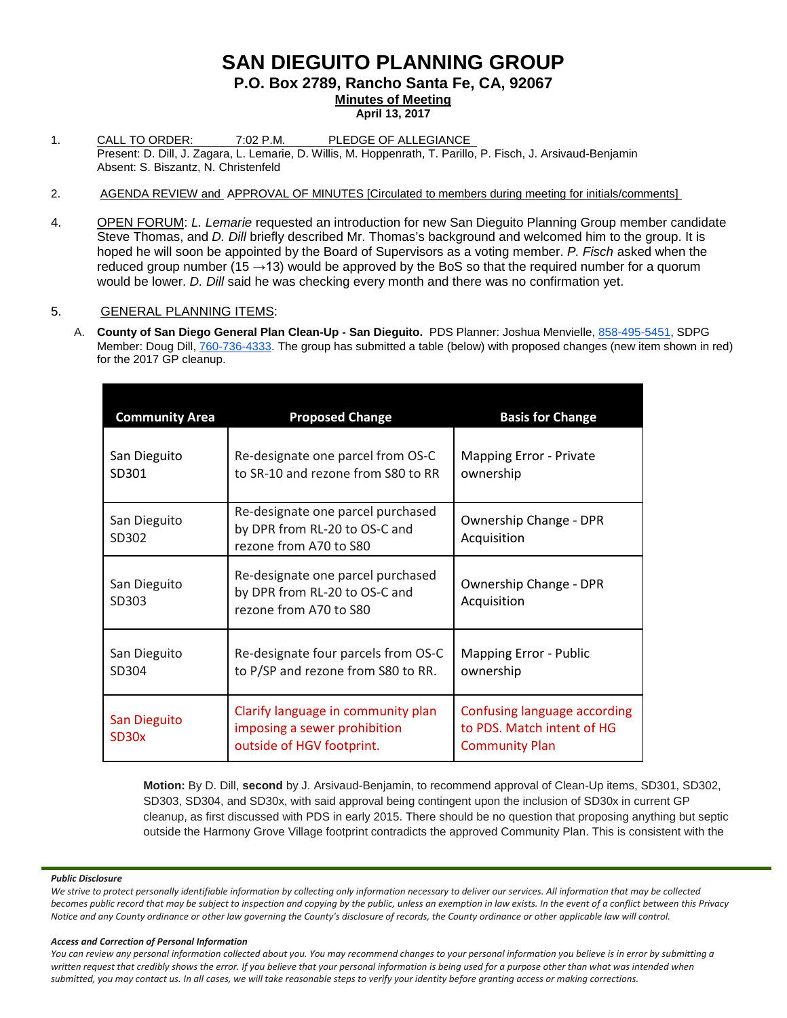## **SAN DIEGUITO PLANNING GROUP P.O. Box 2789, Rancho Santa Fe, CA, 92067 Minutes of Meeting April 13, 2017**

- 1. CALL TO ORDER: 7:02 P.M. PLEDGE OF ALLEGIANCE Present: D. Dill, J. Zagara, L. Lemarie, D. Willis, M. Hoppenrath, T. Parillo, P. Fisch, J. Arsivaud-Benjamin Absent: S. Biszantz, N. Christenfeld
- 2. AGENDA REVIEW and APPROVAL OF MINUTES [Circulated to members during meeting for initials/comments]
- 4. OPEN FORUM: *L. Lemarie* requested an introduction for new San Dieguito Planning Group member candidate Steve Thomas, and *D. Dill* briefly described Mr. Thomas's background and welcomed him to the group. It is hoped he will soon be appointed by the Board of Supervisors as a voting member. *P. Fisch* asked when the reduced group number (15 $\rightarrow$ 13) would be approved by the BoS so that the required number for a quorum would be lower. *D. Dill* said he was checking every month and there was no confirmation yet.

## 5. GENERAL PLANNING ITEMS:

A. **County of San Diego General Plan Clean-Up - San Dieguito.** PDS Planner: Joshua Menvielle, [858-495-5451,](tel:(858)%20495-5451) SDPG Member: Doug Dill, [760-736-4333.](tel:(760)%20736-4333) The group has submitted a table (below) with proposed changes (new item shown in red) for the 2017 GP cleanup.

| <b>Community Area</b>              | <b>Proposed Change</b>                                                                          | <b>Basis for Change</b>                                                             |
|------------------------------------|-------------------------------------------------------------------------------------------------|-------------------------------------------------------------------------------------|
| San Dieguito<br>SD301              | Re-designate one parcel from OS-C<br>to SR-10 and rezone from S80 to RR                         | <b>Mapping Error - Private</b><br>ownership                                         |
| San Dieguito<br>SD302              | Re-designate one parcel purchased<br>by DPR from RL-20 to OS-C and<br>rezone from A70 to S80    | Ownership Change - DPR<br>Acquisition                                               |
| San Dieguito<br>SD303              | Re-designate one parcel purchased<br>by DPR from RL-20 to OS-C and<br>rezone from A70 to S80    | Ownership Change - DPR<br>Acquisition                                               |
| San Dieguito<br>SD304              | Re-designate four parcels from OS-C<br>to P/SP and rezone from S80 to RR.                       | <b>Mapping Error - Public</b><br>ownership                                          |
| San Dieguito<br>SD <sub>30</sub> x | Clarify language in community plan<br>imposing a sewer prohibition<br>outside of HGV footprint. | Confusing language according<br>to PDS. Match intent of HG<br><b>Community Plan</b> |

**Motion:** By D. Dill, **second** by J. Arsivaud-Benjamin, to recommend approval of Clean-Up items, SD301, SD302, SD303, SD304, and SD30x, with said approval being contingent upon the inclusion of SD30x in current GP cleanup, as first discussed with PDS in early 2015. There should be no question that proposing anything but septic outside the Harmony Grove Village footprint contradicts the approved Community Plan. This is consistent with the

#### *Public Disclosure*

*We strive to protect personally identifiable information by collecting only information necessary to deliver our services. All information that may be collected becomes public record that may be subject to inspection and copying by the public, unless an exemption in law exists. In the event of a conflict between this Privacy Notice and any County ordinance or other law governing the County's disclosure of records, the County ordinance or other applicable law will control.*

## *Access and Correction of Personal Information*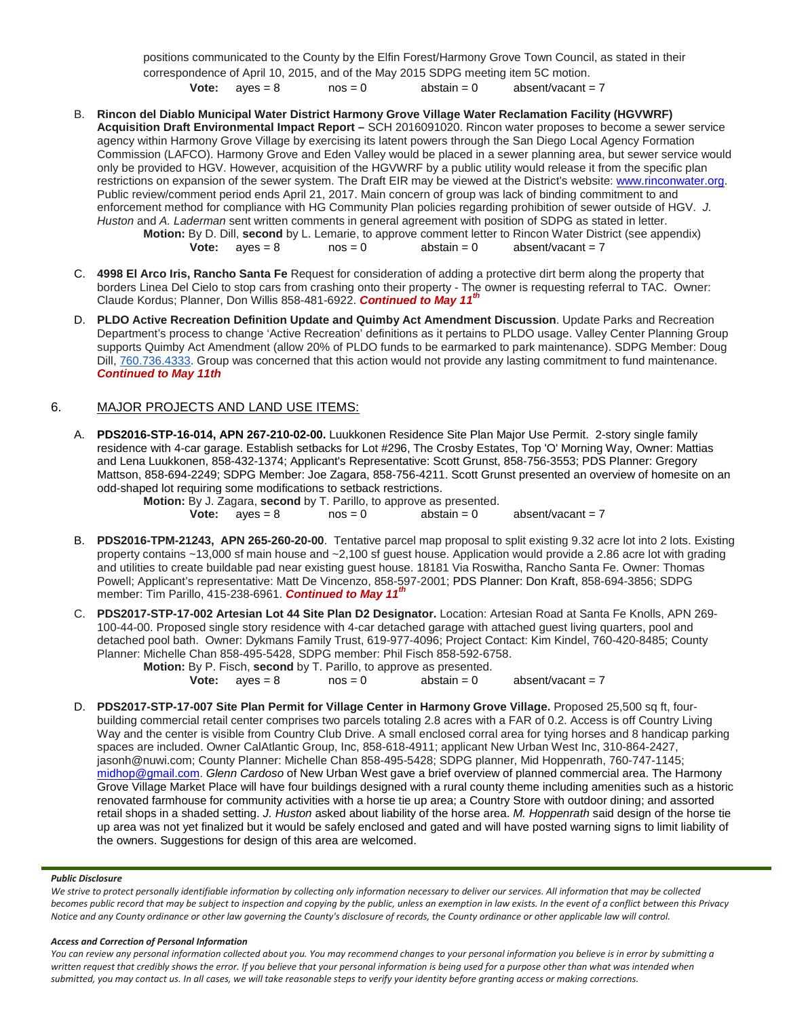positions communicated to the County by the Elfin Forest/Harmony Grove Town Council, as stated in their correspondence of April 10, 2015, and of the May 2015 SDPG meeting item 5C motion. **Vote:**  $aves = 8$   $nos = 0$   $abstant = 0$   $absent/vacant = 7$ 

- B. **Rincon del Diablo Municipal Water District Harmony Grove Village Water Reclamation Facility (HGVWRF) Acquisition Draft Environmental Impact Report –** SCH 2016091020. Rincon water proposes to become a sewer service agency within Harmony Grove Village by exercising its latent powers through the San Diego Local Agency Formation Commission (LAFCO). Harmony Grove and Eden Valley would be placed in a sewer planning area, but sewer service would only be provided to HGV. However, acquisition of the HGVWRF by a public utility would release it from the specific plan restrictions on expansion of the sewer system. The Draft EIR may be viewed at the District's website: [www.rinconwater.org.](http://www.rinconwater.org/) Public review/comment period ends April 21, 2017. Main concern of group was lack of binding commitment to and enforcement method for compliance with HG Community Plan policies regarding prohibition of sewer outside of HGV. *J. Huston* and *A. Laderman* sent written comments in general agreement with position of SDPG as stated in letter. **Motion:** By D. Dill, **second** by L. Lemarie, to approve comment letter to Rincon Water District (see appendix)<br> **Vote:** ayes = 8 nos = 0 abstain = 0 absent/vacant = 7 absent/vacant  $= 7$
- C. **4998 El Arco Iris, Rancho Santa Fe** Request for consideration of adding a protective dirt berm along the property that borders Linea Del Cielo to stop cars from crashing onto their property - The owner is requesting referral to TAC. Owner: Claude Kordus; Planner, Don Willis [858-481-6922.](tel:(858)%20481-6922) *Continued to May 11th*
- D. **PLDO Active Recreation Definition Update and Quimby Act Amendment Discussion**. Update Parks and Recreation Department's process to change 'Active Recreation' definitions as it pertains to PLDO usage. Valley Center Planning Group supports Quimby Act Amendment (allow 20% of PLDO funds to be earmarked to park maintenance). SDPG Member: Doug Dill, [760.736.4333.](tel:(760)%20736-4333) Group was concerned that this action would not provide any lasting commitment to fund maintenance. *Continued to May 11th*

## 6. MAJOR PROJECTS AND LAND USE ITEMS:

A. **PDS2016-STP-16-014, APN 267-210-02-00.** Luukkonen Residence Site Plan Major Use Permit. 2-story single family residence with 4-car garage. Establish setbacks for Lot #296, The Crosby Estates, Top 'O' Morning Way, Owner: Mattias and Lena Luukkonen, [858-432-1374;](tel:858-432-1374) Applicant's Representative: Scott Grunst, [858-756-3553;](tel:858-756-3553) PDS Planner: Gregory Mattson, [858-694-2249;](tel:858-694-2249) SDPG Member: Joe Zagara, [858-756-4211.](tel:858-756-4211) Scott Grunst presented an overview of homesite on an odd-shaped lot requiring some modifications to setback restrictions.<br>**Motion:** By J. Zagara. second by T. Parillo, to approve as

|                         | Motion: By J. Zagara, second by T. Parillo, to approve as presented. |               |                     |
|-------------------------|----------------------------------------------------------------------|---------------|---------------------|
| <b>Vote:</b> $aves = 8$ | $nos = 0$                                                            | abstain $= 0$ | absent/vacant = $7$ |

- B. **PDS2016-TPM-21243, APN 265-260-20-00**. Tentative parcel map proposal to split existing 9.32 acre lot into 2 lots. Existing property contains ~13,000 sf main house and ~2,100 sf guest house. Application would provide a 2.86 acre lot with grading and utilities to create buildable pad near existing guest house. 18181 Via Roswitha, Rancho Santa Fe. Owner: Thomas Powell; Applicant's representative: Matt De Vincenzo, 858-597-2001; PDS Planner: Don Kraft, 858-694-3856; SDPG member: Tim Parillo, [415-238-6961.](tel:415-238-6961) *Continued to May 11th*
- C. **PDS2017-STP-17-002 Artesian Lot 44 Site Plan D2 Designator.** Location: Artesian Road at Santa Fe Knolls, APN 269- 100-44-00. Proposed single story residence with 4-car detached garage with attached guest living quarters, pool and detached pool bath. Owner: Dykmans Family Trust, [619-977-4096;](tel:(619)%20977-4096) Project Contact: Kim Kindel, [760-420-8485;](tel:(760)%20420-8485) County Planner: Michelle Chan [858-495-5428,](tel:(858)%20495-5428) SDPG member: Phil Fisch [858-592-6758.](tel:(858)%20592-6758)

**Motion:** By P. Fisch, **second** by T. Parillo, to approve as presented.<br> **Vote:** aves = 8 nos = 0 abstain = 0 **Vote:**  $ayes = 8$  nos = 0  $abstain = 0$  absent/vacant = 7

D. **PDS2017-STP-17-007 Site Plan Permit for Village Center in Harmony Grove Village.** Proposed 25,500 sq ft, fourbuilding commercial retail center comprises two parcels totaling 2.8 acres with a FAR of 0.2. Access is off Country Living Way and the center is visible from Country Club Drive. A small enclosed corral area for tying horses and 8 handicap parking spaces are included. Owner CalAtlantic Group, Inc, 858-618-4911; applicant New Urban West Inc, 310-864-2427, [jasonh@nuwi.com;](mailto:jasonh@nuwi.com) County Planner: Michelle Chan 858-495-5428; SDPG planner, Mid Hoppenrath, 760-747-1145; [midhop@gmail.com.](mailto:midhop@gmail.com) *Glenn Cardoso* of New Urban West gave a brief overview of planned commercial area. The Harmony Grove Village Market Place will have four buildings designed with a rural county theme including amenities such as a historic renovated farmhouse for community activities with a horse tie up area; a Country Store with outdoor dining; and assorted retail shops in a shaded setting. *J. Huston* asked about liability of the horse area. *M. Hoppenrath* said design of the horse tie up area was not yet finalized but it would be safely enclosed and gated and will have posted warning signs to limit liability of the owners. Suggestions for design of this area are welcomed.

## *Public Disclosure*

*We strive to protect personally identifiable information by collecting only information necessary to deliver our services. All information that may be collected becomes public record that may be subject to inspection and copying by the public, unless an exemption in law exists. In the event of a conflict between this Privacy Notice and any County ordinance or other law governing the County's disclosure of records, the County ordinance or other applicable law will control.*

## *Access and Correction of Personal Information*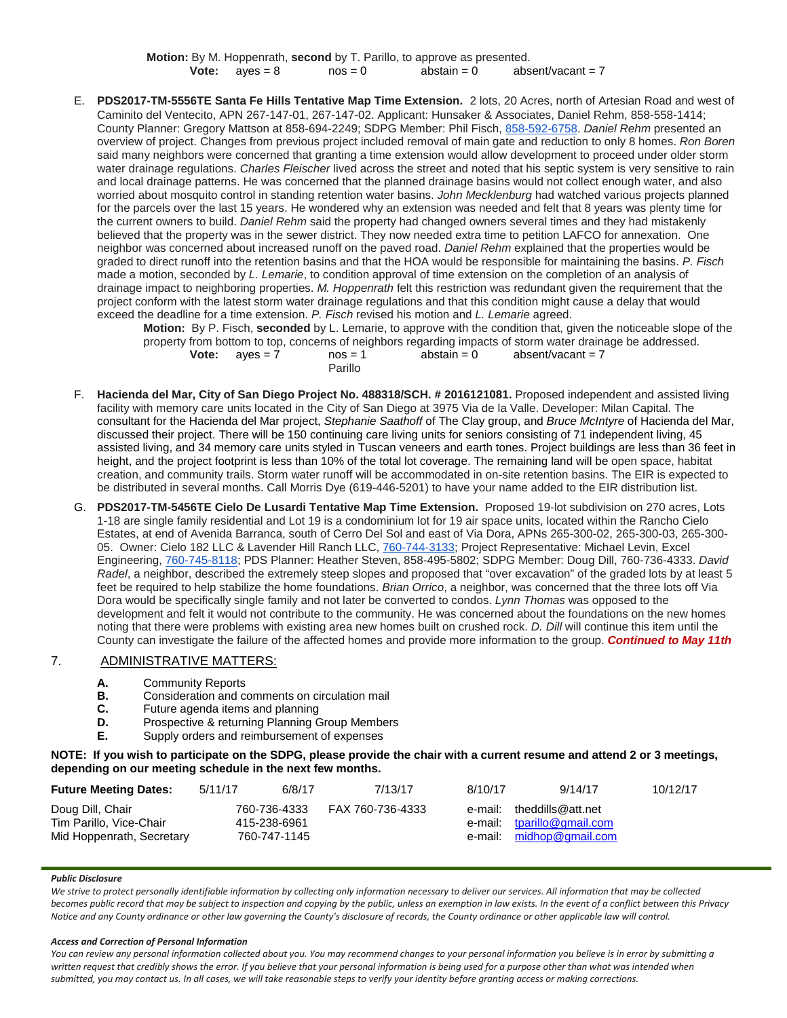**Motion:** By M. Hoppenrath, **second** by T. Parillo, to approve as presented.<br>**Vote:** ayes = 8 nos = 0 abstain = 0 abs **Vote:**  $aves = 8$  nos = 0  $abstain = 0$  absent/vacant = 7

E. **PDS2017-TM-5556TE Santa Fe Hills Tentative Map Time Extension.** 2 lots, 20 Acres, north of Artesian Road and west of Caminito del Ventecito, APN 267-147-01, 267-147-02. Applicant: Hunsaker & Associates, Daniel Rehm, [858-558-1414;](tel:(858)%20558-1414) County Planner: Gregory Mattson at [858-694-2249;](tel:(858)%20694-2249) SDPG Member: Phil Fisch, [858-592-6758.](tel:(858)%20592-6758) *Daniel Rehm* presented an overview of project. Changes from previous project included removal of main gate and reduction to only 8 homes. *Ron Boren* said many neighbors were concerned that granting a time extension would allow development to proceed under older storm water drainage regulations. *Charles Fleischer* lived across the street and noted that his septic system is very sensitive to rain and local drainage patterns. He was concerned that the planned drainage basins would not collect enough water, and also worried about mosquito control in standing retention water basins. *John Mecklenburg* had watched various projects planned for the parcels over the last 15 years. He wondered why an extension was needed and felt that 8 years was plenty time for the current owners to build. *Daniel Rehm* said the property had changed owners several times and they had mistakenly believed that the property was in the sewer district. They now needed extra time to petition LAFCO for annexation. One neighbor was concerned about increased runoff on the paved road. *Daniel Rehm* explained that the properties would be graded to direct runoff into the retention basins and that the HOA would be responsible for maintaining the basins. *P. Fisch* made a motion, seconded by *L. Lemarie*, to condition approval of time extension on the completion of an analysis of drainage impact to neighboring properties. *M. Hoppenrath* felt this restriction was redundant given the requirement that the project conform with the latest storm water drainage regulations and that this condition might cause a delay that would exceed the deadline for a time extension. *P. Fisch* revised his motion and *L. Lemarie* agreed.

**Motion:** By P. Fisch, **seconded** by L. Lemarie, to approve with the condition that, given the noticeable slope of the property from bottom to top, concerns of neighbors regarding impacts of storm water drainage be addressed.<br> **Vote:**  $a$ yes = 7 nos = 1 abstain = 0 absent/vacant = 7 absent/vacant = 7 Parillo

- F. **Hacienda del Mar, City of San Diego Project No. 488318/SCH. # [2016121081.](tel:(201)%20612-1081)** Proposed independent and assisted living facility with memory care units located in the City of San Diego at 3975 Via de la Valle. Developer: Milan Capital. The consultant for the Hacienda del Mar project, *Stephanie Saathoff* of The Clay group, and *Bruce McIntyre* of Hacienda del Mar, discussed their project. There will be 150 continuing care living units for seniors consisting of 71 independent living, 45 assisted living, and 34 memory care units styled in Tuscan veneers and earth tones. Project buildings are less than 36 feet in height, and the project footprint is less than 10% of the total lot coverage. The remaining land will be open space, habitat creation, and community trails. Storm water runoff will be accommodated in on-site retention basins. The EIR is expected to be distributed in several months. Call Morris Dye (619-446-5201) to have your name added to the EIR distribution list.
- G. **PDS2017-TM-5456TE Cielo De Lusardi Tentative Map Time Extension.** Proposed 19-lot subdivision on 270 acres, Lots 1-18 are single family residential and Lot 19 is a condominium lot for 19 air space units, located within the Rancho Cielo Estates, at end of Avenida Barranca, south of Cerro Del Sol and east of Via Dora, APNs 265-300-02, 265-300-03, 265-300- 05. Owner: Cielo 182 LLC & Lavender Hill Ranch LLC, [760-744-3133;](tel:(760)%20744-3133) Project Representative: Michael Levin, Excel Engineering, [760-745-8118;](tel:(760)%20745-8118) PDS Planner: Heather Steven, [858-495-5802;](tel:(858)%20495-5802) SDPG Member: Doug Dill, [760-736-4333.](tel:(760)%20736-4333) *David Radel*, a neighbor, described the extremely steep slopes and proposed that "over excavation" of the graded lots by at least 5 feet be required to help stabilize the home foundations. *Brian Orrico*, a neighbor, was concerned that the three lots off Via Dora would be specifically single family and not later be converted to condos. *Lynn Thomas* was opposed to the development and felt it would not contribute to the community. He was concerned about the foundations on the new homes noting that there were problems with existing area new homes built on crushed rock. *D. Dill* will continue this item until the County can investigate the failure of the affected homes and provide more information to the group. *Continued to May 11th*

## 7. ADMINISTRATIVE MATTERS:

- **A.** Community Reports<br>**B.** Consideration and com-
- **B.** Consideration and comments on circulation mail<br>**C.** Future agenda items and planning
- **C.** Future agenda items and planning<br>**D.** Prospective & returning Planning G
- **D.** Prospective & returning Planning Group Members<br>**F.** Supply orders and reimbursement of expenses
- **E.** Supply orders and reimbursement of expenses

**NOTE: If you wish to participate on the SDPG, please provide the chair with a current resume and attend 2 or 3 meetings, depending on our meeting schedule in the next few months.**

| <b>Future Meeting Dates:</b>                                             | 5/11/17                                      | 6/8/17 | 7/13/17          | 8/10/17 | 9/14/17                                                                             | 10/12/17 |
|--------------------------------------------------------------------------|----------------------------------------------|--------|------------------|---------|-------------------------------------------------------------------------------------|----------|
| Doug Dill, Chair<br>Tim Parillo, Vice-Chair<br>Mid Hoppenrath, Secretary | 760-736-4333<br>415-238-6961<br>760-747-1145 |        | FAX 760-736-4333 |         | e-mail: theddills@att.net<br>e-mail: tparillo@gmail.com<br>e-mail: midhop@gmail.com |          |

#### *Public Disclosure*

*We strive to protect personally identifiable information by collecting only information necessary to deliver our services. All information that may be collected becomes public record that may be subject to inspection and copying by the public, unless an exemption in law exists. In the event of a conflict between this Privacy Notice and any County ordinance or other law governing the County's disclosure of records, the County ordinance or other applicable law will control.*

## *Access and Correction of Personal Information*